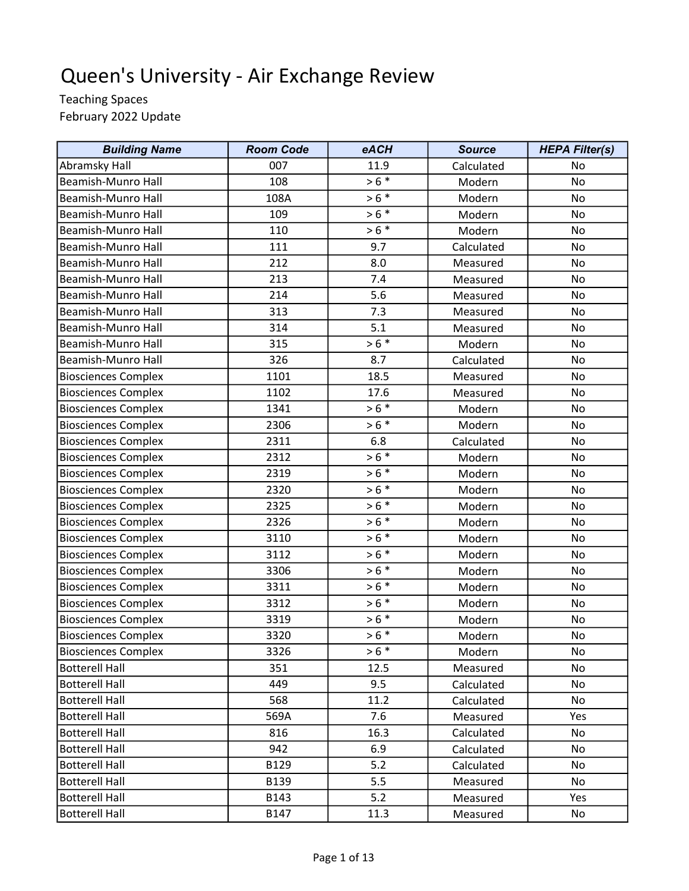## Queen's University - Air Exchange Review

Teaching Spaces February 2022 Update

| <b>Building Name</b>       | <b>Room Code</b> | eACH    | <b>Source</b> | <b>HEPA Filter(s)</b> |
|----------------------------|------------------|---------|---------------|-----------------------|
| Abramsky Hall              | 007              | 11.9    | Calculated    | No                    |
| Beamish-Munro Hall         | 108              | $> 6 *$ | Modern        | No                    |
| Beamish-Munro Hall         | 108A             | $> 6 *$ | Modern        | No                    |
| Beamish-Munro Hall         | 109              | $> 6 *$ | Modern        | No                    |
| Beamish-Munro Hall         | 110              | $> 6 *$ | Modern        | <b>No</b>             |
| Beamish-Munro Hall         | 111              | 9.7     | Calculated    | No                    |
| Beamish-Munro Hall         | 212              | 8.0     | Measured      | No                    |
| Beamish-Munro Hall         | 213              | 7.4     | Measured      | No                    |
| Beamish-Munro Hall         | 214              | 5.6     | Measured      | No                    |
| Beamish-Munro Hall         | 313              | 7.3     | Measured      | <b>No</b>             |
| Beamish-Munro Hall         | 314              | 5.1     | Measured      | No                    |
| Beamish-Munro Hall         | 315              | $> 6 *$ | Modern        | No                    |
| Beamish-Munro Hall         | 326              | 8.7     | Calculated    | No                    |
| <b>Biosciences Complex</b> | 1101             | 18.5    | Measured      | No                    |
| <b>Biosciences Complex</b> | 1102             | 17.6    | Measured      | No                    |
| <b>Biosciences Complex</b> | 1341             | $> 6 *$ | Modern        | No                    |
| <b>Biosciences Complex</b> | 2306             | $> 6 *$ | Modern        | No                    |
| <b>Biosciences Complex</b> | 2311             | 6.8     | Calculated    | No                    |
| <b>Biosciences Complex</b> | 2312             | $> 6 *$ | Modern        | No                    |
| <b>Biosciences Complex</b> | 2319             | $> 6 *$ | Modern        | No                    |
| <b>Biosciences Complex</b> | 2320             | $> 6 *$ | Modern        | No                    |
| <b>Biosciences Complex</b> | 2325             | $> 6 *$ | Modern        | No                    |
| <b>Biosciences Complex</b> | 2326             | $> 6 *$ | Modern        | No                    |
| <b>Biosciences Complex</b> | 3110             | $> 6 *$ | Modern        | No                    |
| <b>Biosciences Complex</b> | 3112             | $> 6 *$ | Modern        | <b>No</b>             |
| <b>Biosciences Complex</b> | 3306             | $> 6 *$ | Modern        | No                    |
| <b>Biosciences Complex</b> | 3311             | $> 6 *$ | Modern        | No                    |
| <b>Biosciences Complex</b> | 3312             | $> 6 *$ | Modern        | No                    |
| <b>Biosciences Complex</b> | 3319             | $> 6 *$ | Modern        | No                    |
| <b>Biosciences Complex</b> | 3320             | $> 6 *$ | Modern        | No                    |
| <b>Biosciences Complex</b> | 3326             | $> 6 *$ | Modern        | No                    |
| <b>Botterell Hall</b>      | 351              | 12.5    | Measured      | No                    |
| <b>Botterell Hall</b>      | 449              | 9.5     | Calculated    | No                    |
| <b>Botterell Hall</b>      | 568              | 11.2    | Calculated    | No                    |
| <b>Botterell Hall</b>      | 569A             | 7.6     | Measured      | Yes                   |
| <b>Botterell Hall</b>      | 816              | 16.3    | Calculated    | No                    |
| <b>Botterell Hall</b>      | 942              | 6.9     | Calculated    | No                    |
| <b>Botterell Hall</b>      | B129             | 5.2     | Calculated    | No                    |
| <b>Botterell Hall</b>      | B139             | 5.5     | Measured      | No                    |
| <b>Botterell Hall</b>      | B143             | 5.2     | Measured      | Yes                   |
| <b>Botterell Hall</b>      | <b>B147</b>      | 11.3    | Measured      | No                    |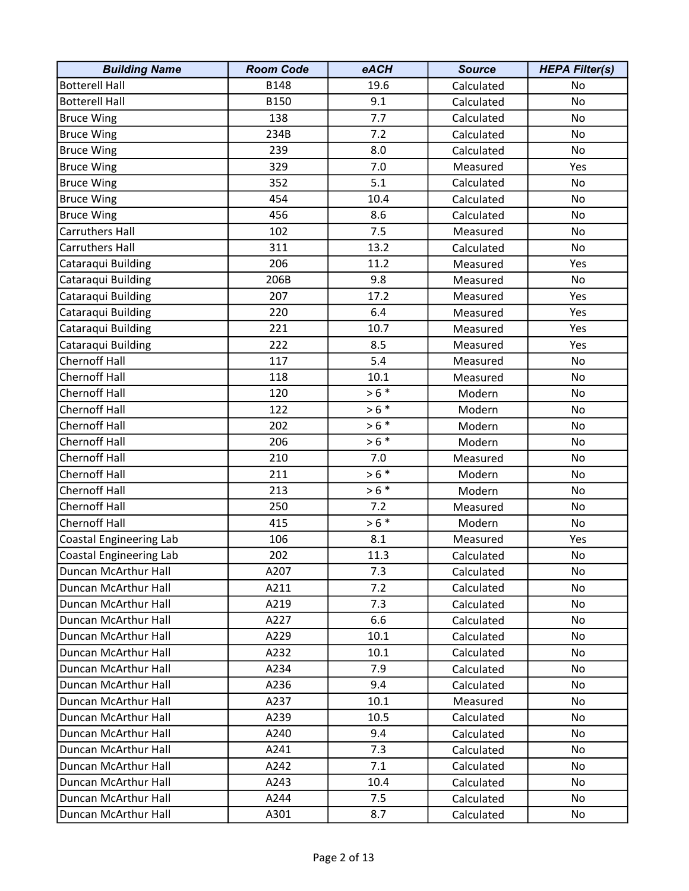| <b>Building Name</b>           | <b>Room Code</b> | eACH    | <b>Source</b> | <b>HEPA Filter(s)</b> |
|--------------------------------|------------------|---------|---------------|-----------------------|
| <b>Botterell Hall</b>          | <b>B148</b>      | 19.6    | Calculated    | No                    |
| <b>Botterell Hall</b>          | B150             | 9.1     | Calculated    | No                    |
| <b>Bruce Wing</b>              | 138              | 7.7     | Calculated    | No                    |
| <b>Bruce Wing</b>              | 234B             | 7.2     | Calculated    | No                    |
| <b>Bruce Wing</b>              | 239              | 8.0     | Calculated    | No                    |
| <b>Bruce Wing</b>              | 329              | 7.0     | Measured      | Yes                   |
| <b>Bruce Wing</b>              | 352              | 5.1     | Calculated    | No                    |
| <b>Bruce Wing</b>              | 454              | 10.4    | Calculated    | No                    |
| <b>Bruce Wing</b>              | 456              | 8.6     | Calculated    | No                    |
| Carruthers Hall                | 102              | 7.5     | Measured      | No                    |
| Carruthers Hall                | 311              | 13.2    | Calculated    | No                    |
| Cataraqui Building             | 206              | 11.2    | Measured      | Yes                   |
| Cataraqui Building             | 206B             | 9.8     | Measured      | No                    |
| Cataraqui Building             | 207              | 17.2    | Measured      | Yes                   |
| Cataraqui Building             | 220              | 6.4     | Measured      | Yes                   |
| Cataraqui Building             | 221              | 10.7    | Measured      | Yes                   |
| Cataraqui Building             | 222              | 8.5     | Measured      | Yes                   |
| <b>Chernoff Hall</b>           | 117              | 5.4     | Measured      | No                    |
| <b>Chernoff Hall</b>           | 118              | 10.1    | Measured      | No                    |
| <b>Chernoff Hall</b>           | 120              | $> 6 *$ | Modern        | No                    |
| <b>Chernoff Hall</b>           | 122              | $> 6 *$ | Modern        | No                    |
| <b>Chernoff Hall</b>           | 202              | $> 6 *$ | Modern        | No                    |
| <b>Chernoff Hall</b>           | 206              | $> 6 *$ | Modern        | No                    |
| <b>Chernoff Hall</b>           | 210              | 7.0     | Measured      | No                    |
| <b>Chernoff Hall</b>           | 211              | $> 6 *$ | Modern        | No                    |
| <b>Chernoff Hall</b>           | 213              | $> 6 *$ | Modern        | No                    |
| <b>Chernoff Hall</b>           | 250              | 7.2     | Measured      | No                    |
| <b>Chernoff Hall</b>           | 415              | $> 6 *$ | Modern        | No                    |
| Coastal Engineering Lab        | 106              | 8.1     | Measured      | Yes                   |
| <b>Coastal Engineering Lab</b> | 202              | 11.3    | Calculated    | No                    |
| Duncan McArthur Hall           | A207             | 7.3     | Calculated    | No                    |
| Duncan McArthur Hall           | A211             | 7.2     | Calculated    | No                    |
| Duncan McArthur Hall           | A219             | 7.3     | Calculated    | No                    |
| Duncan McArthur Hall           | A227             | 6.6     | Calculated    | No                    |
| Duncan McArthur Hall           | A229             | 10.1    | Calculated    | No                    |
| Duncan McArthur Hall           | A232             | 10.1    | Calculated    | No.                   |
| Duncan McArthur Hall           | A234             | 7.9     | Calculated    | No.                   |
| Duncan McArthur Hall           | A236             | 9.4     | Calculated    | No                    |
| Duncan McArthur Hall           | A237             | 10.1    | Measured      | No                    |
| Duncan McArthur Hall           | A239             | 10.5    | Calculated    | No.                   |
| Duncan McArthur Hall           | A240             | 9.4     | Calculated    | No.                   |
| Duncan McArthur Hall           | A241             | 7.3     | Calculated    | No.                   |
| Duncan McArthur Hall           | A242             | 7.1     | Calculated    | No                    |
| Duncan McArthur Hall           | A243             | 10.4    | Calculated    | No                    |
| Duncan McArthur Hall           | A244             | 7.5     | Calculated    | No.                   |
| Duncan McArthur Hall           | A301             | 8.7     | Calculated    | No                    |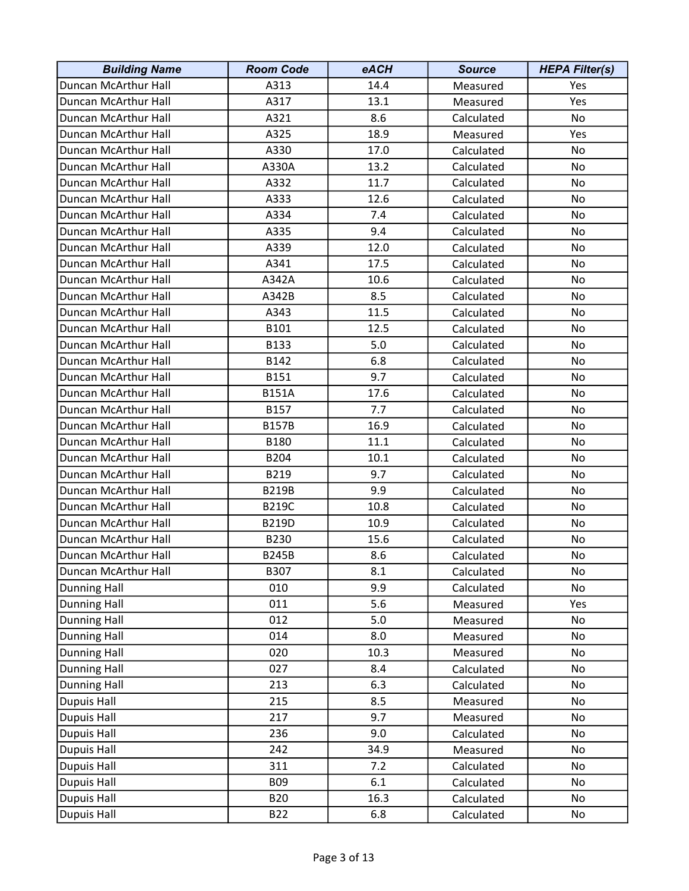| <b>Building Name</b> | <b>Room Code</b> | eACH | <b>Source</b> | <b>HEPA Filter(s)</b> |
|----------------------|------------------|------|---------------|-----------------------|
| Duncan McArthur Hall | A313             | 14.4 | Measured      | Yes                   |
| Duncan McArthur Hall | A317             | 13.1 | Measured      | Yes                   |
| Duncan McArthur Hall | A321             | 8.6  | Calculated    | No                    |
| Duncan McArthur Hall | A325             | 18.9 | Measured      | Yes                   |
| Duncan McArthur Hall | A330             | 17.0 | Calculated    | No                    |
| Duncan McArthur Hall | A330A            | 13.2 | Calculated    | No                    |
| Duncan McArthur Hall | A332             | 11.7 | Calculated    | No                    |
| Duncan McArthur Hall | A333             | 12.6 | Calculated    | No                    |
| Duncan McArthur Hall | A334             | 7.4  | Calculated    | No                    |
| Duncan McArthur Hall | A335             | 9.4  | Calculated    | No                    |
| Duncan McArthur Hall | A339             | 12.0 | Calculated    | No                    |
| Duncan McArthur Hall | A341             | 17.5 | Calculated    | No                    |
| Duncan McArthur Hall | A342A            | 10.6 | Calculated    | No                    |
| Duncan McArthur Hall | A342B            | 8.5  | Calculated    | No                    |
| Duncan McArthur Hall | A343             | 11.5 | Calculated    | No                    |
| Duncan McArthur Hall | B101             | 12.5 | Calculated    | No                    |
| Duncan McArthur Hall | B133             | 5.0  | Calculated    | No                    |
| Duncan McArthur Hall | B142             | 6.8  | Calculated    | No                    |
| Duncan McArthur Hall | B151             | 9.7  | Calculated    | No                    |
| Duncan McArthur Hall | <b>B151A</b>     | 17.6 | Calculated    | No                    |
| Duncan McArthur Hall | B157             | 7.7  | Calculated    | No                    |
| Duncan McArthur Hall | <b>B157B</b>     | 16.9 | Calculated    | No                    |
| Duncan McArthur Hall | B180             | 11.1 | Calculated    | No                    |
| Duncan McArthur Hall | B204             | 10.1 | Calculated    | No                    |
| Duncan McArthur Hall | B219             | 9.7  | Calculated    | No                    |
| Duncan McArthur Hall | <b>B219B</b>     | 9.9  | Calculated    | No                    |
| Duncan McArthur Hall | <b>B219C</b>     | 10.8 | Calculated    | No.                   |
| Duncan McArthur Hall | <b>B219D</b>     | 10.9 | Calculated    | No                    |
| Duncan McArthur Hall | B230             | 15.6 | Calculated    | No                    |
| Duncan McArthur Hall | <b>B245B</b>     | 8.6  | Calculated    | No                    |
| Duncan McArthur Hall | B307             | 8.1  | Calculated    | No                    |
| <b>Dunning Hall</b>  | 010              | 9.9  | Calculated    | No                    |
| <b>Dunning Hall</b>  | 011              | 5.6  | Measured      | Yes                   |
| <b>Dunning Hall</b>  | 012              | 5.0  | Measured      | No                    |
| <b>Dunning Hall</b>  | 014              | 8.0  | Measured      | No                    |
| <b>Dunning Hall</b>  | 020              | 10.3 | Measured      | No                    |
| <b>Dunning Hall</b>  | 027              | 8.4  | Calculated    | No                    |
| <b>Dunning Hall</b>  | 213              | 6.3  | Calculated    | No                    |
| <b>Dupuis Hall</b>   | 215              | 8.5  | Measured      | No                    |
| Dupuis Hall          | 217              | 9.7  | Measured      | No                    |
| Dupuis Hall          | 236              | 9.0  | Calculated    | No                    |
| Dupuis Hall          | 242              | 34.9 | Measured      | No                    |
| Dupuis Hall          | 311              | 7.2  | Calculated    | No                    |
| Dupuis Hall          | <b>B09</b>       | 6.1  | Calculated    | No                    |
| Dupuis Hall          | <b>B20</b>       | 16.3 | Calculated    | No                    |
| Dupuis Hall          | <b>B22</b>       | 6.8  | Calculated    | No                    |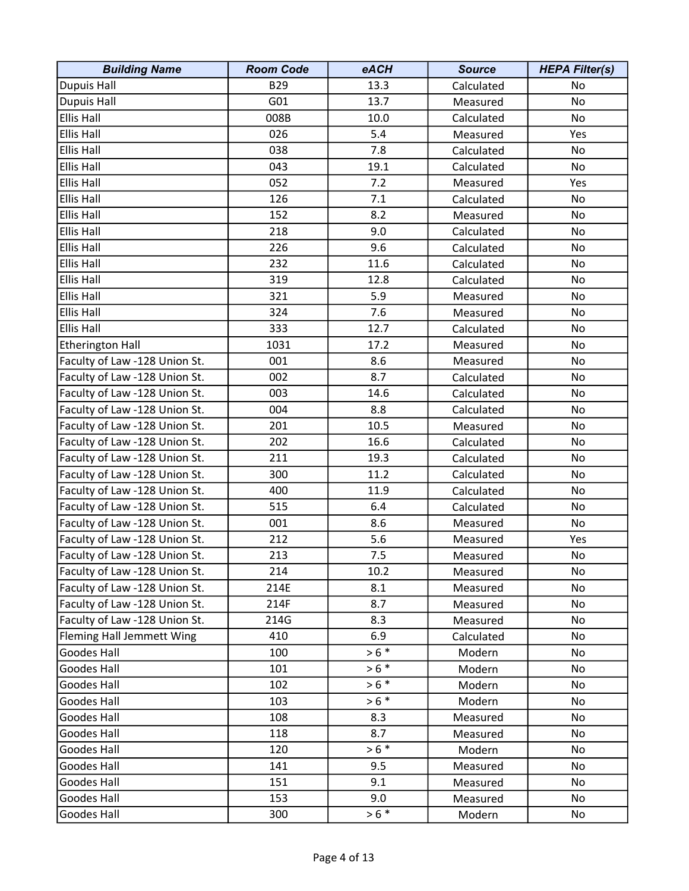| <b>Building Name</b>          | <b>Room Code</b> | eACH    | <b>Source</b> | <b>HEPA Filter(s)</b> |
|-------------------------------|------------------|---------|---------------|-----------------------|
| <b>Dupuis Hall</b>            | <b>B29</b>       | 13.3    | Calculated    | No                    |
| Dupuis Hall                   | G01              | 13.7    | Measured      | No                    |
| <b>Ellis Hall</b>             | 008B             | 10.0    | Calculated    | No                    |
| <b>Ellis Hall</b>             | 026              | 5.4     | Measured      | Yes                   |
| <b>Ellis Hall</b>             | 038              | 7.8     | Calculated    | No                    |
| <b>Ellis Hall</b>             | 043              | 19.1    | Calculated    | No                    |
| <b>Ellis Hall</b>             | 052              | 7.2     | Measured      | Yes                   |
| <b>Ellis Hall</b>             | 126              | 7.1     | Calculated    | No                    |
| <b>Ellis Hall</b>             | 152              | 8.2     | Measured      | No                    |
| <b>Ellis Hall</b>             | 218              | 9.0     | Calculated    | No                    |
| <b>Ellis Hall</b>             | 226              | 9.6     | Calculated    | No                    |
| <b>Ellis Hall</b>             | 232              | 11.6    | Calculated    | No                    |
| <b>Ellis Hall</b>             | 319              | 12.8    | Calculated    | No                    |
| <b>Ellis Hall</b>             | 321              | 5.9     | Measured      | No                    |
| <b>Ellis Hall</b>             | 324              | 7.6     | Measured      | No                    |
| <b>Ellis Hall</b>             | 333              | 12.7    | Calculated    | No                    |
| <b>Etherington Hall</b>       | 1031             | 17.2    | Measured      | No                    |
| Faculty of Law -128 Union St. | 001              | 8.6     | Measured      | No                    |
| Faculty of Law -128 Union St. | 002              | 8.7     | Calculated    | No                    |
| Faculty of Law -128 Union St. | 003              | 14.6    | Calculated    | No                    |
| Faculty of Law -128 Union St. | 004              | 8.8     | Calculated    | No                    |
| Faculty of Law -128 Union St. | 201              | 10.5    | Measured      | No                    |
| Faculty of Law -128 Union St. | 202              | 16.6    | Calculated    | No                    |
| Faculty of Law -128 Union St. | 211              | 19.3    | Calculated    | No                    |
| Faculty of Law -128 Union St. | 300              | 11.2    | Calculated    | No                    |
| Faculty of Law -128 Union St. | 400              | 11.9    | Calculated    | No                    |
| Faculty of Law -128 Union St. | 515              | 6.4     | Calculated    | No                    |
| Faculty of Law -128 Union St. | 001              | 8.6     | Measured      | No                    |
| Faculty of Law -128 Union St. | 212              | 5.6     | Measured      | Yes                   |
| Faculty of Law -128 Union St. | 213              | 7.5     | Measured      | No                    |
| Faculty of Law -128 Union St. | 214              | 10.2    | Measured      | No                    |
| Faculty of Law -128 Union St. | 214E             | 8.1     | Measured      | No                    |
| Faculty of Law -128 Union St. | 214F             | 8.7     | Measured      | No                    |
| Faculty of Law -128 Union St. | 214G             | 8.3     | Measured      | No                    |
| Fleming Hall Jemmett Wing     | 410              | 6.9     | Calculated    | No                    |
| Goodes Hall                   | 100              | $> 6 *$ | Modern        | No                    |
| Goodes Hall                   | 101              | $> 6 *$ | Modern        | No                    |
| Goodes Hall                   | 102              | $> 6 *$ | Modern        | No                    |
| Goodes Hall                   | 103              | $> 6 *$ | Modern        | No                    |
| Goodes Hall                   | 108              | 8.3     | Measured      | No                    |
| Goodes Hall                   | 118              | 8.7     | Measured      | No                    |
| Goodes Hall                   | 120              | $> 6 *$ | Modern        | No                    |
| Goodes Hall                   | 141              | 9.5     | Measured      | No                    |
| Goodes Hall                   | 151              | 9.1     | Measured      | No                    |
| Goodes Hall                   | 153              | 9.0     | Measured      | No                    |
| Goodes Hall                   | 300              | $> 6 *$ | Modern        | No                    |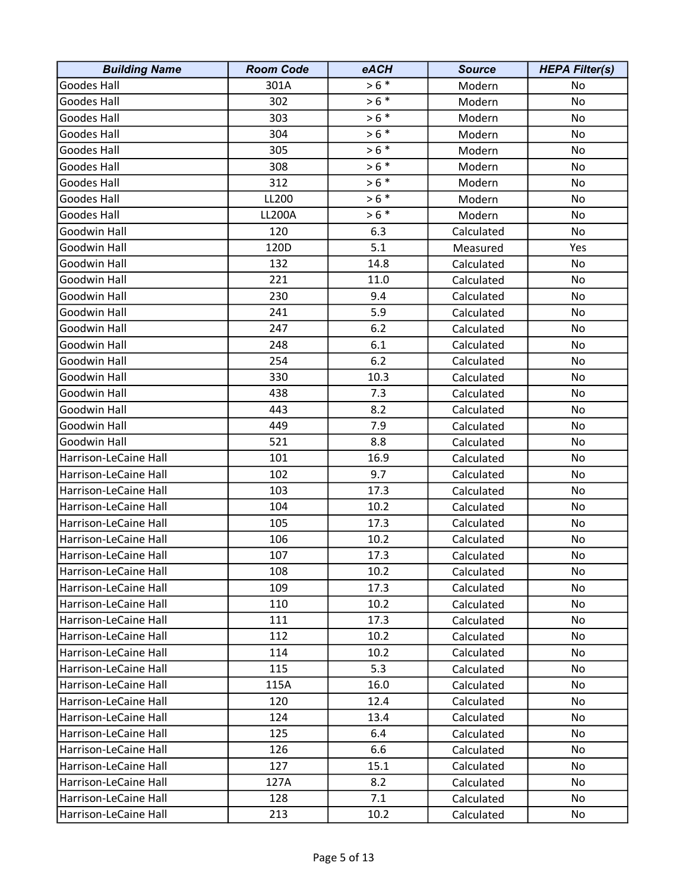| <b>Building Name</b>  | <b>Room Code</b> | eACH    | <b>Source</b> | <b>HEPA Filter(s)</b> |
|-----------------------|------------------|---------|---------------|-----------------------|
| Goodes Hall           | 301A             | $> 6 *$ | Modern        | No                    |
| Goodes Hall           | 302              | $> 6 *$ | Modern        | No                    |
| Goodes Hall           | 303              | $> 6 *$ | Modern        | No                    |
| Goodes Hall           | 304              | $> 6 *$ | Modern        | No                    |
| <b>Goodes Hall</b>    | 305              | $> 6 *$ | Modern        | No                    |
| Goodes Hall           | 308              | $> 6 *$ | Modern        | No                    |
| Goodes Hall           | 312              | $> 6 *$ | Modern        | No                    |
| Goodes Hall           | LL200            | $> 6 *$ | Modern        | No                    |
| Goodes Hall           | <b>LL200A</b>    | $> 6 *$ | Modern        | No                    |
| Goodwin Hall          | 120              | 6.3     | Calculated    | No                    |
| Goodwin Hall          | 120D             | 5.1     | Measured      | Yes                   |
| Goodwin Hall          | 132              | 14.8    | Calculated    | No                    |
| Goodwin Hall          | 221              | 11.0    | Calculated    | No                    |
| Goodwin Hall          | 230              | 9.4     | Calculated    | No                    |
| Goodwin Hall          | 241              | 5.9     | Calculated    | No                    |
| Goodwin Hall          | 247              | 6.2     | Calculated    | No                    |
| Goodwin Hall          | 248              | 6.1     | Calculated    | No                    |
| Goodwin Hall          | 254              | 6.2     | Calculated    | No                    |
| Goodwin Hall          | 330              | 10.3    | Calculated    | No                    |
| Goodwin Hall          | 438              | 7.3     | Calculated    | No                    |
| Goodwin Hall          | 443              | 8.2     | Calculated    | No                    |
| Goodwin Hall          | 449              | 7.9     | Calculated    | No                    |
| Goodwin Hall          | 521              | 8.8     | Calculated    | No                    |
| Harrison-LeCaine Hall | 101              | 16.9    | Calculated    | No                    |
| Harrison-LeCaine Hall | 102              | 9.7     | Calculated    | No                    |
| Harrison-LeCaine Hall | 103              | 17.3    | Calculated    | No                    |
| Harrison-LeCaine Hall | 104              | 10.2    | Calculated    | No                    |
| Harrison-LeCaine Hall | 105              | 17.3    | Calculated    | No                    |
| Harrison-LeCaine Hall | 106              | 10.2    | Calculated    | No                    |
| Harrison-LeCaine Hall | 107              | 17.3    | Calculated    | No                    |
| Harrison-LeCaine Hall | 108              | 10.2    | Calculated    | No                    |
| Harrison-LeCaine Hall | 109              | 17.3    | Calculated    | No                    |
| Harrison-LeCaine Hall | 110              | 10.2    | Calculated    | No                    |
| Harrison-LeCaine Hall | 111              | 17.3    | Calculated    | No                    |
| Harrison-LeCaine Hall | 112              | 10.2    | Calculated    | No                    |
| Harrison-LeCaine Hall | 114              | 10.2    | Calculated    | No                    |
| Harrison-LeCaine Hall | 115              | 5.3     | Calculated    | No                    |
| Harrison-LeCaine Hall | 115A             | 16.0    | Calculated    | No                    |
| Harrison-LeCaine Hall | 120              | 12.4    | Calculated    | No                    |
| Harrison-LeCaine Hall | 124              | 13.4    | Calculated    | No.                   |
| Harrison-LeCaine Hall | 125              | 6.4     | Calculated    | No                    |
| Harrison-LeCaine Hall | 126              | 6.6     | Calculated    | No.                   |
| Harrison-LeCaine Hall | 127              | 15.1    | Calculated    | No                    |
| Harrison-LeCaine Hall | 127A             | 8.2     | Calculated    | No                    |
| Harrison-LeCaine Hall | 128              | 7.1     | Calculated    | No                    |
| Harrison-LeCaine Hall | 213              | 10.2    | Calculated    | No                    |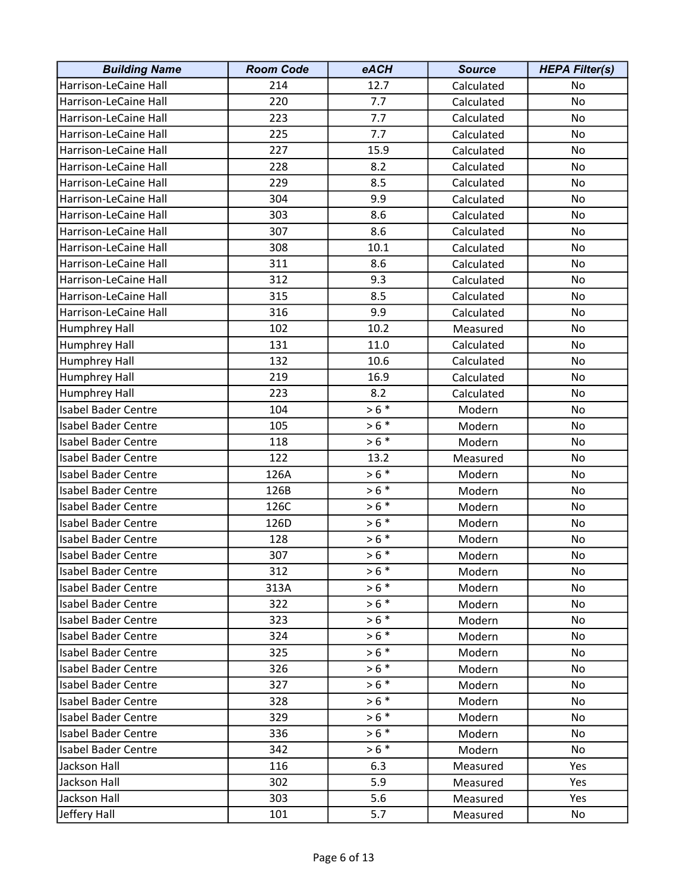| <b>Building Name</b>       | <b>Room Code</b> | eACH    | <b>Source</b> | <b>HEPA Filter(s)</b> |
|----------------------------|------------------|---------|---------------|-----------------------|
| Harrison-LeCaine Hall      | 214              | 12.7    | Calculated    | No                    |
| Harrison-LeCaine Hall      | 220              | 7.7     | Calculated    | No                    |
| Harrison-LeCaine Hall      | 223              | 7.7     | Calculated    | No                    |
| Harrison-LeCaine Hall      | 225              | 7.7     | Calculated    | No                    |
| Harrison-LeCaine Hall      | 227              | 15.9    | Calculated    | No                    |
| Harrison-LeCaine Hall      | 228              | 8.2     | Calculated    | No                    |
| Harrison-LeCaine Hall      | 229              | 8.5     | Calculated    | No                    |
| Harrison-LeCaine Hall      | 304              | 9.9     | Calculated    | No                    |
| Harrison-LeCaine Hall      | 303              | 8.6     | Calculated    | No                    |
| Harrison-LeCaine Hall      | 307              | 8.6     | Calculated    | No                    |
| Harrison-LeCaine Hall      | 308              | 10.1    | Calculated    | No                    |
| Harrison-LeCaine Hall      | 311              | 8.6     | Calculated    | No                    |
| Harrison-LeCaine Hall      | 312              | 9.3     | Calculated    | No                    |
| Harrison-LeCaine Hall      | 315              | 8.5     | Calculated    | No                    |
| Harrison-LeCaine Hall      | 316              | 9.9     | Calculated    | No                    |
| Humphrey Hall              | 102              | 10.2    | Measured      | No                    |
| Humphrey Hall              | 131              | 11.0    | Calculated    | No                    |
| Humphrey Hall              | 132              | 10.6    | Calculated    | No                    |
| Humphrey Hall              | 219              | 16.9    | Calculated    | No                    |
| Humphrey Hall              | 223              | 8.2     | Calculated    | No                    |
| <b>Isabel Bader Centre</b> | 104              | $> 6 *$ | Modern        | No                    |
| <b>Isabel Bader Centre</b> | 105              | $> 6 *$ | Modern        | No                    |
| <b>Isabel Bader Centre</b> | 118              | $> 6 *$ | Modern        | No                    |
| <b>Isabel Bader Centre</b> | 122              | 13.2    | Measured      | No                    |
| <b>Isabel Bader Centre</b> | 126A             | $> 6 *$ | Modern        | No                    |
| <b>Isabel Bader Centre</b> | 126B             | $> 6 *$ | Modern        | No                    |
| <b>Isabel Bader Centre</b> | 126C             | $> 6 *$ | Modern        | No                    |
| <b>Isabel Bader Centre</b> | 126D             | $> 6 *$ | Modern        | No                    |
| <b>Isabel Bader Centre</b> | 128              | $> 6 *$ | Modern        | No                    |
| <b>Isabel Bader Centre</b> | 307              | $> 6 *$ | Modern        | No                    |
| <b>Isabel Bader Centre</b> | 312              | $> 6 *$ | Modern        | No                    |
| <b>Isabel Bader Centre</b> | 313A             | $> 6 *$ | Modern        | No                    |
| <b>Isabel Bader Centre</b> | 322              | $> 6 *$ | Modern        | No                    |
| <b>Isabel Bader Centre</b> | 323              | $> 6 *$ | Modern        | No                    |
| <b>Isabel Bader Centre</b> | 324              | $> 6 *$ | Modern        | No                    |
| <b>Isabel Bader Centre</b> | 325              | $> 6 *$ | Modern        | No                    |
| <b>Isabel Bader Centre</b> | 326              | $> 6 *$ | Modern        | No                    |
| <b>Isabel Bader Centre</b> | 327              | $> 6 *$ | Modern        | No                    |
| <b>Isabel Bader Centre</b> | 328              | $> 6 *$ | Modern        | No                    |
| <b>Isabel Bader Centre</b> | 329              | $> 6 *$ | Modern        | No.                   |
| <b>Isabel Bader Centre</b> | 336              | $> 6 *$ | Modern        | No                    |
| <b>Isabel Bader Centre</b> | 342              | $> 6 *$ | Modern        | No                    |
| Jackson Hall               | 116              | 6.3     | Measured      | Yes                   |
| Jackson Hall               | 302              | 5.9     | Measured      | Yes                   |
| Jackson Hall               | 303              | 5.6     | Measured      | Yes                   |
| Jeffery Hall               | 101              | 5.7     | Measured      | No                    |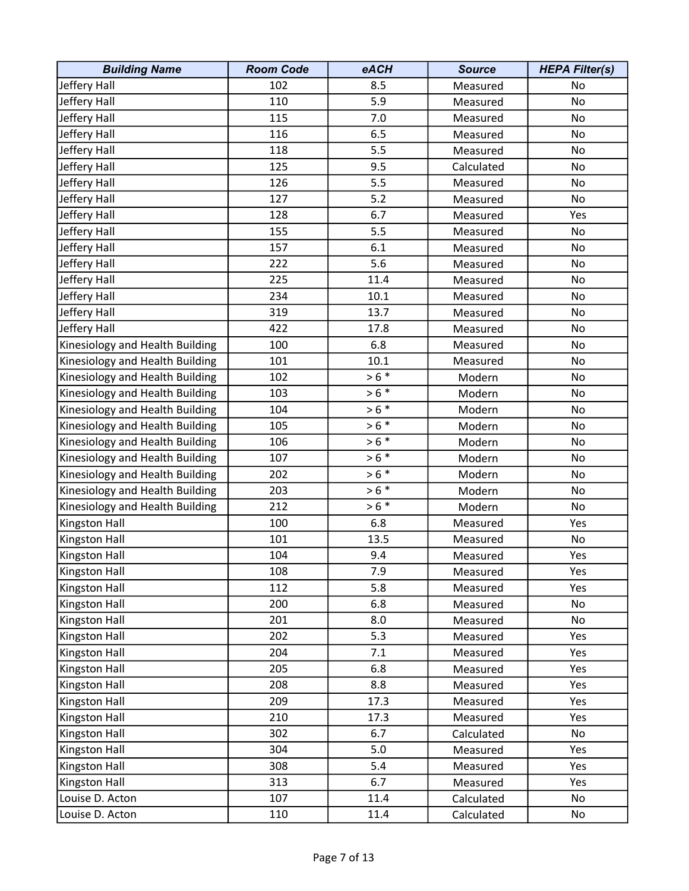| <b>Building Name</b>            | <b>Room Code</b> | eACH    | <b>Source</b> | <b>HEPA Filter(s)</b> |
|---------------------------------|------------------|---------|---------------|-----------------------|
| Jeffery Hall                    | 102              | 8.5     | Measured      | No                    |
| Jeffery Hall                    | 110              | 5.9     | Measured      | No                    |
| Jeffery Hall                    | 115              | 7.0     | Measured      | No                    |
| Jeffery Hall                    | 116              | 6.5     | Measured      | No                    |
| Jeffery Hall                    | 118              | 5.5     | Measured      | No                    |
| Jeffery Hall                    | 125              | 9.5     | Calculated    | No                    |
| Jeffery Hall                    | 126              | 5.5     | Measured      | No                    |
| Jeffery Hall                    | 127              | 5.2     | Measured      | No                    |
| Jeffery Hall                    | 128              | 6.7     | Measured      | Yes                   |
| Jeffery Hall                    | 155              | 5.5     | Measured      | No                    |
| Jeffery Hall                    | 157              | 6.1     | Measured      | No                    |
| Jeffery Hall                    | 222              | 5.6     | Measured      | No                    |
| Jeffery Hall                    | 225              | 11.4    | Measured      | No                    |
| Jeffery Hall                    | 234              | 10.1    | Measured      | No                    |
| Jeffery Hall                    | 319              | 13.7    | Measured      | No                    |
| Jeffery Hall                    | 422              | 17.8    | Measured      | No                    |
| Kinesiology and Health Building | 100              | 6.8     | Measured      | No                    |
| Kinesiology and Health Building | 101              | 10.1    | Measured      | No                    |
| Kinesiology and Health Building | 102              | $> 6 *$ | Modern        | No                    |
| Kinesiology and Health Building | 103              | $> 6 *$ | Modern        | No                    |
| Kinesiology and Health Building | 104              | $> 6 *$ | Modern        | No                    |
| Kinesiology and Health Building | 105              | $> 6 *$ | Modern        | No                    |
| Kinesiology and Health Building | 106              | $> 6 *$ | Modern        | No                    |
| Kinesiology and Health Building | 107              | $> 6 *$ | Modern        | No                    |
| Kinesiology and Health Building | 202              | $> 6 *$ | Modern        | No                    |
| Kinesiology and Health Building | 203              | $> 6 *$ | Modern        | No                    |
| Kinesiology and Health Building | 212              | $> 6 *$ | Modern        | No                    |
| Kingston Hall                   | 100              | 6.8     | Measured      | Yes                   |
| Kingston Hall                   | 101              | 13.5    | Measured      | No                    |
| <b>Kingston Hall</b>            | 104              | 9.4     | Measured      | Yes                   |
| Kingston Hall                   | 108              | 7.9     | Measured      | Yes                   |
| Kingston Hall                   | 112              | 5.8     | Measured      | Yes                   |
| Kingston Hall                   | 200              | 6.8     | Measured      | No                    |
| Kingston Hall                   | 201              | 8.0     | Measured      | No                    |
| Kingston Hall                   | 202              | 5.3     | Measured      | Yes                   |
| Kingston Hall                   | 204              | 7.1     | Measured      | Yes                   |
| Kingston Hall                   | 205              | 6.8     | Measured      | Yes                   |
| Kingston Hall                   | 208              | 8.8     | Measured      | Yes                   |
| Kingston Hall                   | 209              | 17.3    | Measured      | Yes                   |
| Kingston Hall                   | 210              | 17.3    | Measured      | Yes                   |
| Kingston Hall                   | 302              | 6.7     | Calculated    | No                    |
| Kingston Hall                   | 304              | 5.0     | Measured      | Yes                   |
| Kingston Hall                   | 308              | 5.4     | Measured      | Yes                   |
| Kingston Hall                   | 313              | 6.7     | Measured      | Yes                   |
| Louise D. Acton                 | 107              | 11.4    | Calculated    | No                    |
| Louise D. Acton                 | 110              | 11.4    | Calculated    | No                    |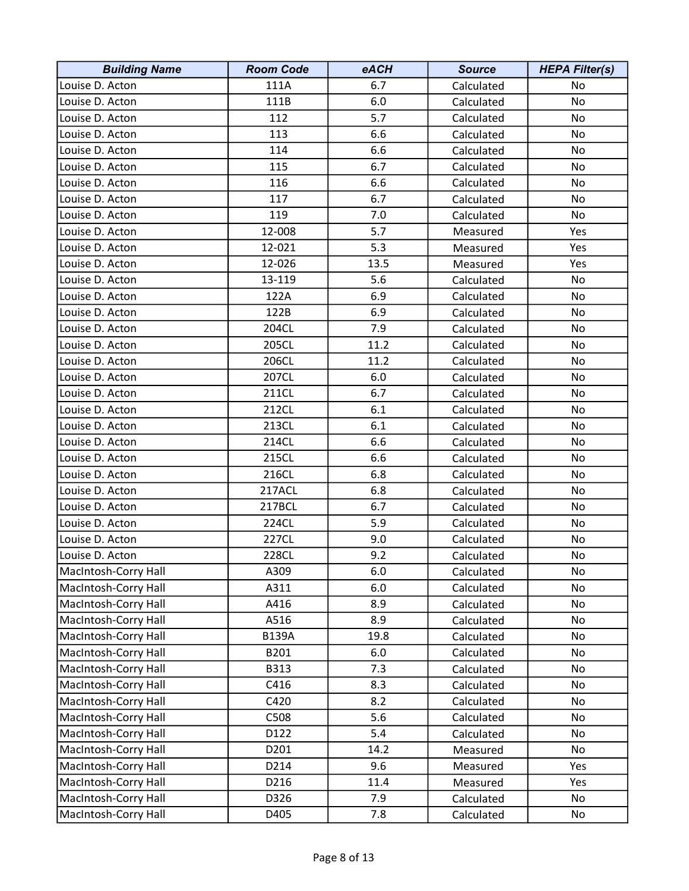| <b>Building Name</b> | <b>Room Code</b> | eACH | <b>Source</b> | <b>HEPA Filter(s)</b> |
|----------------------|------------------|------|---------------|-----------------------|
| Louise D. Acton      | 111A             | 6.7  | Calculated    | No                    |
| Louise D. Acton      | 111B             | 6.0  | Calculated    | No                    |
| Louise D. Acton      | 112              | 5.7  | Calculated    | No                    |
| Louise D. Acton      | 113              | 6.6  | Calculated    | No                    |
| Louise D. Acton      | 114              | 6.6  | Calculated    | No                    |
| Louise D. Acton      | 115              | 6.7  | Calculated    | No                    |
| Louise D. Acton      | 116              | 6.6  | Calculated    | No                    |
| Louise D. Acton      | 117              | 6.7  | Calculated    | No                    |
| Louise D. Acton      | 119              | 7.0  | Calculated    | No                    |
| Louise D. Acton      | 12-008           | 5.7  | Measured      | Yes                   |
| Louise D. Acton      | 12-021           | 5.3  | Measured      | Yes                   |
| Louise D. Acton      | 12-026           | 13.5 | Measured      | Yes                   |
| Louise D. Acton      | 13-119           | 5.6  | Calculated    | No                    |
| Louise D. Acton      | 122A             | 6.9  | Calculated    | No                    |
| Louise D. Acton      | 122B             | 6.9  | Calculated    | No                    |
| Louise D. Acton      | 204CL            | 7.9  | Calculated    | No                    |
| Louise D. Acton      | 205CL            | 11.2 | Calculated    | No                    |
| Louise D. Acton      | 206CL            | 11.2 | Calculated    | No                    |
| Louise D. Acton      | 207CL            | 6.0  | Calculated    | No                    |
| Louise D. Acton      | 211CL            | 6.7  | Calculated    | No                    |
| Louise D. Acton      | 212CL            | 6.1  | Calculated    | No                    |
| Louise D. Acton      | 213CL            | 6.1  | Calculated    | No                    |
| Louise D. Acton      | 214CL            | 6.6  | Calculated    | No                    |
| Louise D. Acton      | 215CL            | 6.6  | Calculated    | No                    |
| Louise D. Acton      | 216CL            | 6.8  | Calculated    | No                    |
| Louise D. Acton      | 217ACL           | 6.8  | Calculated    | No                    |
| Louise D. Acton      | 217BCL           | 6.7  | Calculated    | No                    |
| Louise D. Acton      | 224CL            | 5.9  | Calculated    | No                    |
| Louise D. Acton      | 227CL            | 9.0  | Calculated    | No                    |
| Louise D. Acton      | 228CL            | 9.2  | Calculated    | No                    |
| MacIntosh-Corry Hall | A309             | 6.0  | Calculated    | No                    |
| MacIntosh-Corry Hall | A311             | 6.0  | Calculated    | No                    |
| MacIntosh-Corry Hall | A416             | 8.9  | Calculated    | No                    |
| MacIntosh-Corry Hall | A516             | 8.9  | Calculated    | No                    |
| MacIntosh-Corry Hall | <b>B139A</b>     | 19.8 | Calculated    | No                    |
| MacIntosh-Corry Hall | B201             | 6.0  | Calculated    | No                    |
| MacIntosh-Corry Hall | B313             | 7.3  | Calculated    | No                    |
| MacIntosh-Corry Hall | C416             | 8.3  | Calculated    | No                    |
| MacIntosh-Corry Hall | C420             | 8.2  | Calculated    | No                    |
| MacIntosh-Corry Hall | C508             | 5.6  | Calculated    | No                    |
| MacIntosh-Corry Hall | D122             | 5.4  | Calculated    | No                    |
| MacIntosh-Corry Hall | D201             | 14.2 | Measured      | No                    |
| MacIntosh-Corry Hall | D214             | 9.6  | Measured      | Yes                   |
| MacIntosh-Corry Hall | D216             | 11.4 | Measured      | Yes                   |
| MacIntosh-Corry Hall | D326             | 7.9  | Calculated    | No                    |
| MacIntosh-Corry Hall | D405             | 7.8  | Calculated    | No                    |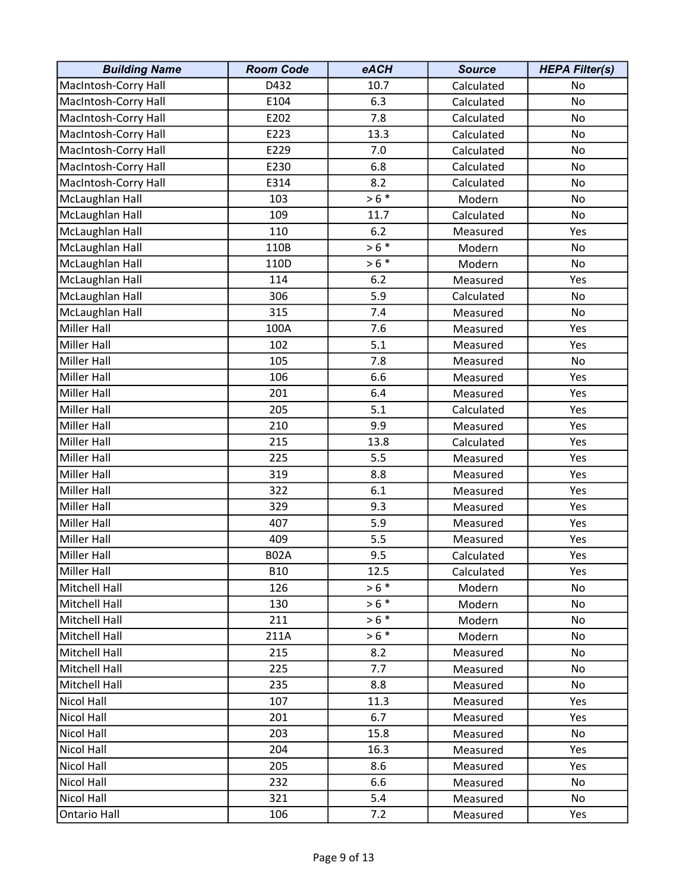| <b>Building Name</b> | <b>Room Code</b> | eACH    | <b>Source</b> | <b>HEPA Filter(s)</b> |
|----------------------|------------------|---------|---------------|-----------------------|
| MacIntosh-Corry Hall | D432             | 10.7    | Calculated    | No                    |
| MacIntosh-Corry Hall | E104             | 6.3     | Calculated    | No                    |
| MacIntosh-Corry Hall | E202             | 7.8     | Calculated    | No                    |
| MacIntosh-Corry Hall | E223             | 13.3    | Calculated    | No                    |
| MacIntosh-Corry Hall | E229             | 7.0     | Calculated    | No                    |
| MacIntosh-Corry Hall | E230             | 6.8     | Calculated    | No                    |
| MacIntosh-Corry Hall | E314             | 8.2     | Calculated    | No                    |
| McLaughlan Hall      | 103              | $> 6 *$ | Modern        | No                    |
| McLaughlan Hall      | 109              | 11.7    | Calculated    | No                    |
| McLaughlan Hall      | 110              | 6.2     | Measured      | Yes                   |
| McLaughlan Hall      | 110B             | $> 6 *$ | Modern        | No                    |
| McLaughlan Hall      | 110D             | $> 6 *$ | Modern        | No                    |
| McLaughlan Hall      | 114              | 6.2     | Measured      | Yes                   |
| McLaughlan Hall      | 306              | 5.9     | Calculated    | No                    |
| McLaughlan Hall      | 315              | 7.4     | Measured      | No                    |
| Miller Hall          | 100A             | 7.6     | Measured      | Yes                   |
| <b>Miller Hall</b>   | 102              | 5.1     | Measured      | Yes                   |
| <b>Miller Hall</b>   | 105              | 7.8     | Measured      | No                    |
| Miller Hall          | 106              | 6.6     | Measured      | Yes                   |
| <b>Miller Hall</b>   | 201              | 6.4     | Measured      | Yes                   |
| Miller Hall          | 205              | 5.1     | Calculated    | Yes                   |
| Miller Hall          | 210              | 9.9     | Measured      | Yes                   |
| Miller Hall          | 215              | 13.8    | Calculated    | Yes                   |
| Miller Hall          | 225              | 5.5     | Measured      | Yes                   |
| Miller Hall          | 319              | 8.8     | Measured      | Yes                   |
| Miller Hall          | 322              | 6.1     | Measured      | Yes                   |
| Miller Hall          | 329              | 9.3     | Measured      | Yes                   |
| <b>Miller Hall</b>   | 407              | 5.9     | Measured      | Yes                   |
| <b>Miller Hall</b>   | 409              | 5.5     | Measured      | Yes                   |
| <b>Miller Hall</b>   | <b>B02A</b>      | 9.5     | Calculated    | Yes                   |
| Miller Hall          | <b>B10</b>       | 12.5    | Calculated    | Yes                   |
| Mitchell Hall        | 126              | $> 6 *$ | Modern        | No                    |
| Mitchell Hall        | 130              | $> 6 *$ | Modern        | No                    |
| Mitchell Hall        | 211              | $> 6 *$ | Modern        | No                    |
| Mitchell Hall        | 211A             | $> 6 *$ | Modern        | No                    |
| Mitchell Hall        | 215              | 8.2     | Measured      | No.                   |
| Mitchell Hall        | 225              | 7.7     | Measured      | No                    |
| Mitchell Hall        | 235              | 8.8     | Measured      | No                    |
| <b>Nicol Hall</b>    | 107              | 11.3    | Measured      | Yes                   |
| Nicol Hall           | 201              | 6.7     | Measured      | Yes                   |
| <b>Nicol Hall</b>    | 203              | 15.8    | Measured      | No                    |
| Nicol Hall           | 204              | 16.3    | Measured      | Yes                   |
| Nicol Hall           | 205              | 8.6     | Measured      | Yes                   |
| Nicol Hall           | 232              | 6.6     | Measured      | No                    |
| Nicol Hall           | 321              | 5.4     | Measured      | No                    |
| Ontario Hall         | 106              | 7.2     | Measured      | Yes                   |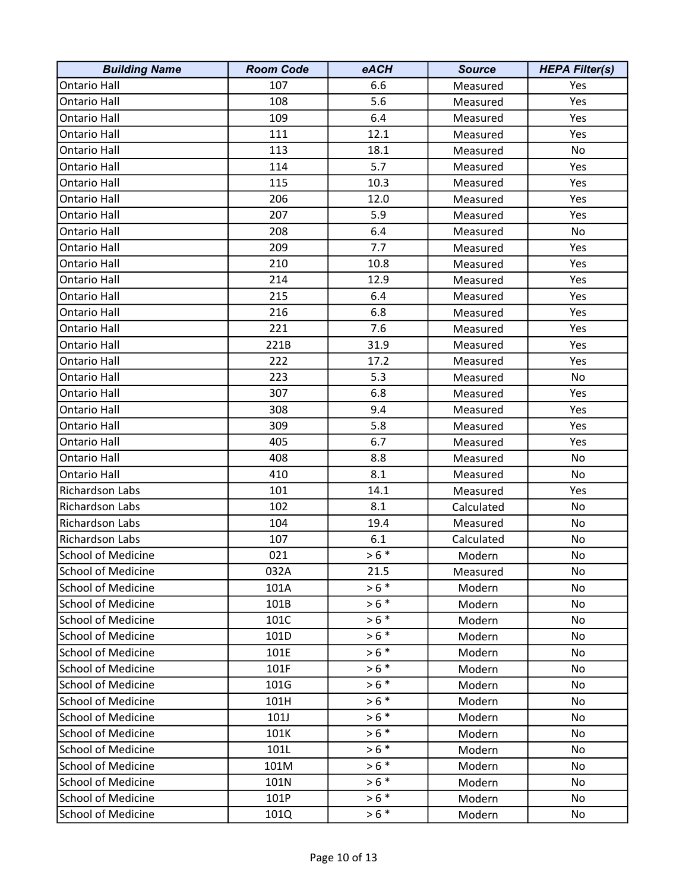| <b>Building Name</b>      | <b>Room Code</b> | eACH    | <b>Source</b> | <b>HEPA Filter(s)</b> |
|---------------------------|------------------|---------|---------------|-----------------------|
| <b>Ontario Hall</b>       | 107              | 6.6     | Measured      | Yes                   |
| <b>Ontario Hall</b>       | 108              | 5.6     | Measured      | Yes                   |
| Ontario Hall              | 109              | 6.4     | Measured      | Yes                   |
| Ontario Hall              | 111              | 12.1    | Measured      | Yes                   |
| <b>Ontario Hall</b>       | 113              | 18.1    | Measured      | No                    |
| <b>Ontario Hall</b>       | 114              | 5.7     | Measured      | Yes                   |
| <b>Ontario Hall</b>       | 115              | 10.3    | Measured      | Yes                   |
| Ontario Hall              | 206              | 12.0    | Measured      | Yes                   |
| Ontario Hall              | 207              | 5.9     | Measured      | Yes                   |
| <b>Ontario Hall</b>       | 208              | 6.4     | Measured      | No                    |
| <b>Ontario Hall</b>       | 209              | 7.7     | Measured      | Yes                   |
| <b>Ontario Hall</b>       | 210              | 10.8    | Measured      | Yes                   |
| Ontario Hall              | 214              | 12.9    | Measured      | Yes                   |
| Ontario Hall              | 215              | 6.4     | Measured      | Yes                   |
| <b>Ontario Hall</b>       | 216              | 6.8     | Measured      | Yes                   |
| <b>Ontario Hall</b>       | 221              | 7.6     | Measured      | Yes                   |
| <b>Ontario Hall</b>       | 221B             | 31.9    | Measured      | Yes                   |
| <b>Ontario Hall</b>       | 222              | 17.2    | Measured      | Yes                   |
| Ontario Hall              | 223              | 5.3     | Measured      | No                    |
| Ontario Hall              | 307              | 6.8     | Measured      | Yes                   |
| <b>Ontario Hall</b>       | 308              | 9.4     | Measured      | Yes                   |
| <b>Ontario Hall</b>       | 309              | 5.8     | Measured      | Yes                   |
| <b>Ontario Hall</b>       | 405              | 6.7     | Measured      | Yes                   |
| <b>Ontario Hall</b>       | 408              | 8.8     | Measured      | No                    |
| <b>Ontario Hall</b>       | 410              | 8.1     | Measured      | No                    |
| Richardson Labs           | 101              | 14.1    | Measured      | Yes                   |
| Richardson Labs           | 102              | 8.1     | Calculated    | No                    |
| Richardson Labs           | 104              | 19.4    | Measured      | No                    |
| Richardson Labs           | 107              | 6.1     | Calculated    | No                    |
| <b>School of Medicine</b> | 021              | $> 6 *$ | Modern        | No                    |
| <b>School of Medicine</b> | 032A             | 21.5    | Measured      | No                    |
| <b>School of Medicine</b> | 101A             | $> 6 *$ | Modern        | No                    |
| <b>School of Medicine</b> | 101B             | $> 6 *$ | Modern        | No                    |
| <b>School of Medicine</b> | 101C             | $> 6 *$ | Modern        | No                    |
| <b>School of Medicine</b> | 101D             | $> 6 *$ | Modern        | No                    |
| <b>School of Medicine</b> | 101E             | $> 6 *$ | Modern        | No                    |
| <b>School of Medicine</b> | 101F             | $> 6 *$ | Modern        | No                    |
| <b>School of Medicine</b> | 101G             | $> 6 *$ | Modern        | No                    |
| <b>School of Medicine</b> | 101H             | $> 6 *$ | Modern        | No                    |
| <b>School of Medicine</b> | 101J             | $> 6 *$ | Modern        | No                    |
| <b>School of Medicine</b> | 101K             | $> 6 *$ | Modern        | No                    |
| <b>School of Medicine</b> | 101L             | $> 6 *$ | Modern        | No                    |
| <b>School of Medicine</b> | 101M             | $> 6 *$ | Modern        | No                    |
| <b>School of Medicine</b> | 101N             | $> 6 *$ | Modern        | No                    |
| <b>School of Medicine</b> | 101P             | $> 6 *$ | Modern        | No                    |
| <b>School of Medicine</b> | 101Q             | $> 6 *$ | Modern        | No                    |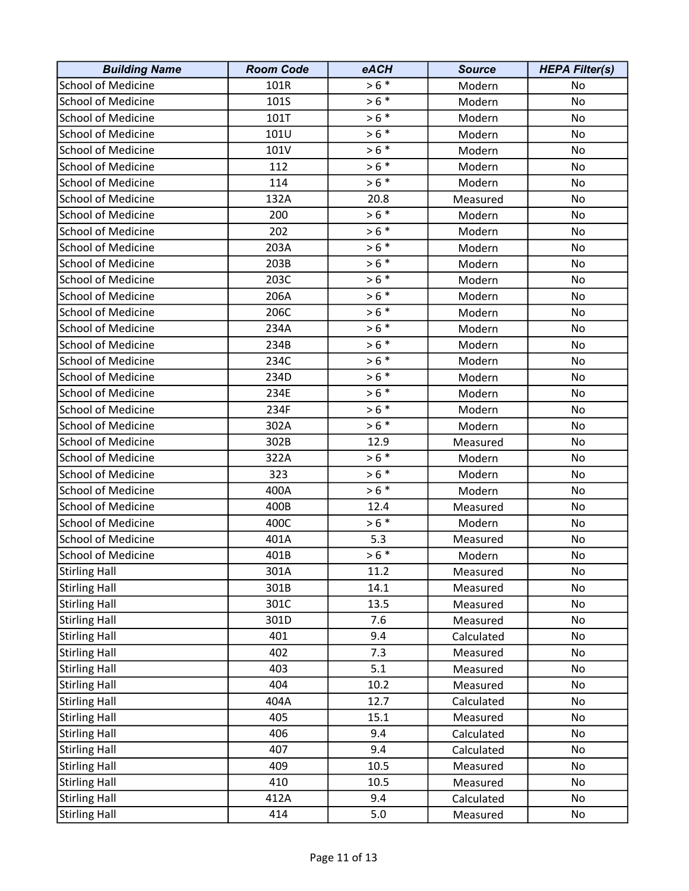| <b>Building Name</b>      | <b>Room Code</b> | eACH    | <b>Source</b> | <b>HEPA Filter(s)</b> |
|---------------------------|------------------|---------|---------------|-----------------------|
| <b>School of Medicine</b> | 101R             | $> 6 *$ | Modern        | No                    |
| <b>School of Medicine</b> | 101S             | $> 6 *$ | Modern        | No                    |
| <b>School of Medicine</b> | 101T             | $> 6 *$ | Modern        | No                    |
| <b>School of Medicine</b> | 101U             | $> 6 *$ | Modern        | No                    |
| <b>School of Medicine</b> | 101V             | $> 6 *$ | Modern        | No                    |
| <b>School of Medicine</b> | 112              | $> 6 *$ | Modern        | No                    |
| <b>School of Medicine</b> | 114              | $> 6 *$ | Modern        | No                    |
| <b>School of Medicine</b> | 132A             | 20.8    | Measured      | No                    |
| <b>School of Medicine</b> | 200              | $> 6 *$ | Modern        | No                    |
| <b>School of Medicine</b> | 202              | $> 6 *$ | Modern        | No                    |
| <b>School of Medicine</b> | 203A             | $> 6 *$ | Modern        | No                    |
| <b>School of Medicine</b> | 203B             | $> 6 *$ | Modern        | No                    |
| <b>School of Medicine</b> | 203C             | $> 6 *$ | Modern        | No                    |
| <b>School of Medicine</b> | 206A             | $> 6 *$ | Modern        | No                    |
| <b>School of Medicine</b> | 206C             | $> 6 *$ | Modern        | No                    |
| <b>School of Medicine</b> | 234A             | $> 6 *$ | Modern        | No                    |
| <b>School of Medicine</b> | 234B             | $> 6 *$ | Modern        | No                    |
| <b>School of Medicine</b> | 234C             | $> 6 *$ | Modern        | No                    |
| <b>School of Medicine</b> | 234D             | $> 6 *$ | Modern        | No                    |
| <b>School of Medicine</b> | 234E             | $> 6 *$ | Modern        | No                    |
| <b>School of Medicine</b> | 234F             | $>6$ *  | Modern        | No                    |
| <b>School of Medicine</b> | 302A             | $> 6 *$ | Modern        | No                    |
| <b>School of Medicine</b> | 302B             | 12.9    | Measured      | No                    |
| <b>School of Medicine</b> | 322A             | $> 6 *$ | Modern        | No                    |
| <b>School of Medicine</b> | 323              | $> 6 *$ | Modern        | No                    |
| <b>School of Medicine</b> | 400A             | $> 6 *$ | Modern        | No                    |
| <b>School of Medicine</b> | 400B             | 12.4    | Measured      | No                    |
| <b>School of Medicine</b> | 400C             | $> 6 *$ | Modern        | No                    |
| <b>School of Medicine</b> | 401A             | 5.3     | Measured      | No                    |
| <b>School of Medicine</b> | 401B             | $> 6 *$ | Modern        | No                    |
| <b>Stirling Hall</b>      | 301A             | 11.2    | Measured      | No                    |
| <b>Stirling Hall</b>      | 301B             | 14.1    | Measured      | No                    |
| <b>Stirling Hall</b>      | 301C             | 13.5    | Measured      | No                    |
| <b>Stirling Hall</b>      | 301D             | 7.6     | Measured      | No                    |
| <b>Stirling Hall</b>      | 401              | 9.4     | Calculated    | No                    |
| <b>Stirling Hall</b>      | 402              | 7.3     | Measured      | No                    |
| <b>Stirling Hall</b>      | 403              | 5.1     | Measured      | No                    |
| <b>Stirling Hall</b>      | 404              | 10.2    | Measured      | No                    |
| <b>Stirling Hall</b>      | 404A             | 12.7    | Calculated    | No                    |
| <b>Stirling Hall</b>      | 405              | 15.1    | Measured      | No                    |
| <b>Stirling Hall</b>      | 406              | 9.4     | Calculated    | No                    |
| <b>Stirling Hall</b>      | 407              | 9.4     | Calculated    | No                    |
| <b>Stirling Hall</b>      | 409              | 10.5    | Measured      | No                    |
| <b>Stirling Hall</b>      | 410              | 10.5    | Measured      | No                    |
| <b>Stirling Hall</b>      | 412A             | 9.4     | Calculated    | No                    |
| <b>Stirling Hall</b>      | 414              | 5.0     | Measured      | No                    |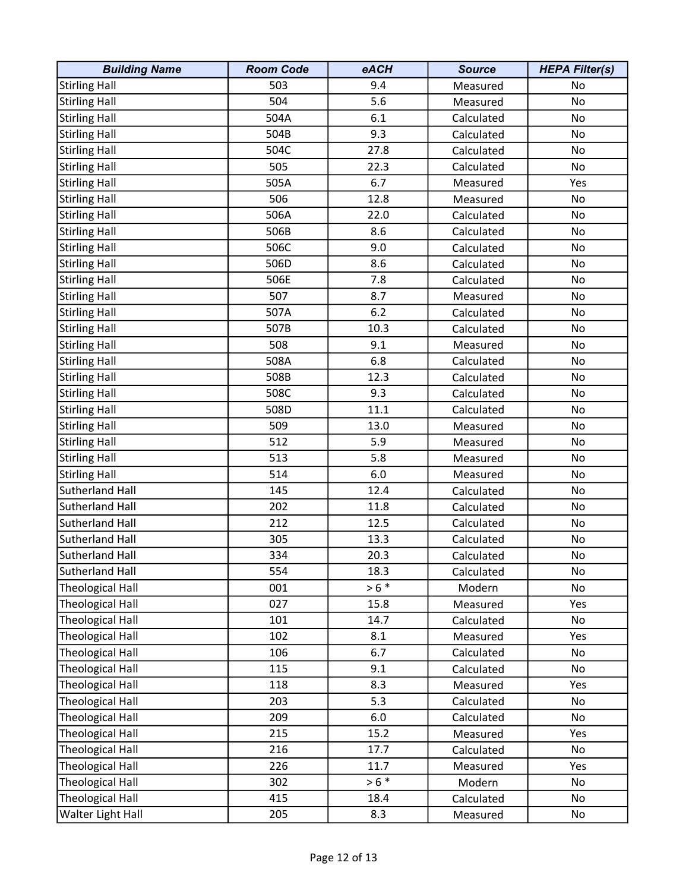| <b>Building Name</b>    | <b>Room Code</b> | eACH    | <b>Source</b> | <b>HEPA Filter(s)</b> |
|-------------------------|------------------|---------|---------------|-----------------------|
| <b>Stirling Hall</b>    | 503              | 9.4     | Measured      | No                    |
| <b>Stirling Hall</b>    | 504              | 5.6     | Measured      | No                    |
| <b>Stirling Hall</b>    | 504A             | 6.1     | Calculated    | No                    |
| <b>Stirling Hall</b>    | 504B             | 9.3     | Calculated    | No                    |
| <b>Stirling Hall</b>    | 504C             | 27.8    | Calculated    | No                    |
| <b>Stirling Hall</b>    | 505              | 22.3    | Calculated    | No                    |
| <b>Stirling Hall</b>    | 505A             | 6.7     | Measured      | Yes                   |
| <b>Stirling Hall</b>    | 506              | 12.8    | Measured      | No                    |
| <b>Stirling Hall</b>    | 506A             | 22.0    | Calculated    | No                    |
| <b>Stirling Hall</b>    | 506B             | 8.6     | Calculated    | No                    |
| <b>Stirling Hall</b>    | 506C             | 9.0     | Calculated    | No                    |
| <b>Stirling Hall</b>    | 506D             | 8.6     | Calculated    | No                    |
| <b>Stirling Hall</b>    | 506E             | 7.8     | Calculated    | No                    |
| <b>Stirling Hall</b>    | 507              | 8.7     | Measured      | No                    |
| <b>Stirling Hall</b>    | 507A             | 6.2     | Calculated    | No                    |
| <b>Stirling Hall</b>    | 507B             | 10.3    | Calculated    | No                    |
| <b>Stirling Hall</b>    | 508              | 9.1     | Measured      | No                    |
| <b>Stirling Hall</b>    | 508A             | 6.8     | Calculated    | No                    |
| <b>Stirling Hall</b>    | 508B             | 12.3    | Calculated    | No                    |
| <b>Stirling Hall</b>    | 508C             | 9.3     | Calculated    | No                    |
| <b>Stirling Hall</b>    | 508D             | 11.1    | Calculated    | No                    |
| <b>Stirling Hall</b>    | 509              | 13.0    | Measured      | No                    |
| <b>Stirling Hall</b>    | 512              | 5.9     | Measured      | No                    |
| <b>Stirling Hall</b>    | 513              | 5.8     | Measured      | No                    |
| <b>Stirling Hall</b>    | 514              | 6.0     | Measured      | No                    |
| Sutherland Hall         | 145              | 12.4    | Calculated    | No                    |
| Sutherland Hall         | 202              | 11.8    | Calculated    | No                    |
| Sutherland Hall         | 212              | 12.5    | Calculated    | No                    |
| Sutherland Hall         | 305              | 13.3    | Calculated    | No                    |
| <b>Sutherland Hall</b>  | 334              | 20.3    | Calculated    | No                    |
| Sutherland Hall         | 554              | 18.3    | Calculated    | No                    |
| <b>Theological Hall</b> | 001              | $> 6 *$ | Modern        | No                    |
| <b>Theological Hall</b> | 027              | 15.8    | Measured      | Yes                   |
| <b>Theological Hall</b> | 101              | 14.7    | Calculated    | No                    |
| <b>Theological Hall</b> | 102              | 8.1     | Measured      | Yes                   |
| <b>Theological Hall</b> | 106              | 6.7     | Calculated    | No                    |
| <b>Theological Hall</b> | 115              | 9.1     | Calculated    | No                    |
| <b>Theological Hall</b> | 118              | 8.3     | Measured      | Yes                   |
| <b>Theological Hall</b> | 203              | 5.3     | Calculated    | No                    |
| <b>Theological Hall</b> | 209              | 6.0     | Calculated    | No                    |
| <b>Theological Hall</b> | 215              | 15.2    | Measured      | Yes                   |
| <b>Theological Hall</b> | 216              | 17.7    | Calculated    | No                    |
| <b>Theological Hall</b> | 226              | 11.7    | Measured      | Yes                   |
| <b>Theological Hall</b> | 302              | $> 6 *$ | Modern        | No                    |
| <b>Theological Hall</b> | 415              | 18.4    | Calculated    | No                    |
| Walter Light Hall       | 205              | 8.3     | Measured      | No                    |